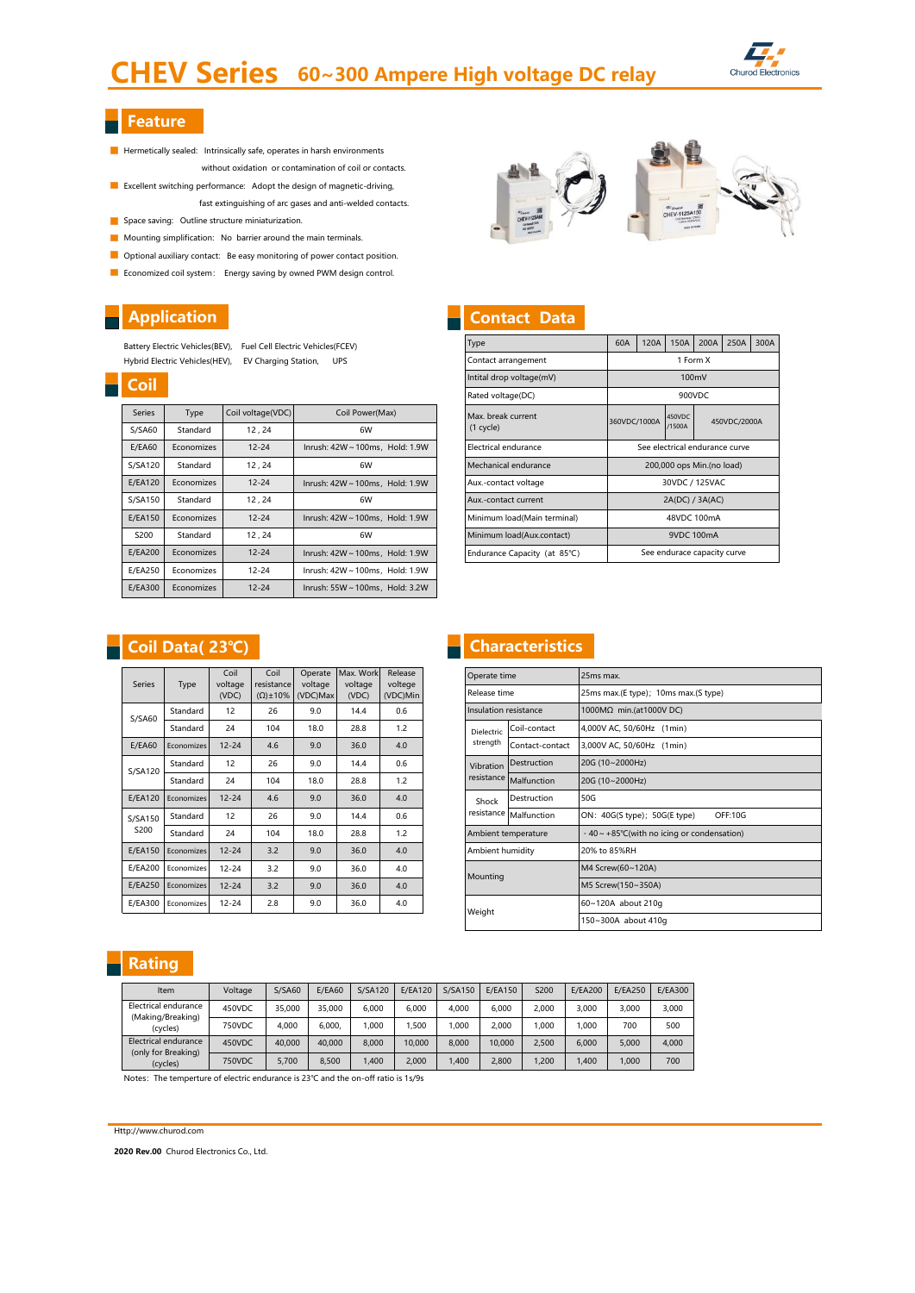# CHEV Series 60~300 Ampere High voltage DC relay



# $\overline{\phantom{a}}$  Feature

- Hermetically sealed: Intrinsically safe, operates in harsh environments without oxidation or contamination of coil or contacts.
- **EXcellent switching performance:** Adopt the design of magnetic-driving, fast extinguishing of arc gases and anti-welded contacts.
- Space saving: Outline structure miniaturization.
- **Mounting simplification:** No barrier around the main terminals.
- Optional auxiliary contact: Be easy monitoring of power contact position.
- **E** Economized coil system: Energy saving by owned PWM design control.

# **Application**

Battery Electric Vehicles(BEV), Fuel Cell Electric Vehicles(FCEV) Hybrid Electric Vehicles(HEV), EV Charging Station, UPS

| <u>coll</u>   |            |                   |                                 |
|---------------|------------|-------------------|---------------------------------|
| <b>Series</b> | Type       | Coil voltage(VDC) | Coil Power(Max)                 |
| S/SA60        | Standard   | 12, 24            | 6W                              |
| E/EA60        | Economizes | $12 - 24$         | Inrush: 42W ~ 100ms, Hold: 1.9W |
| S/SA120       | Standard   | 12, 24            | 6W                              |
| E/EA120       | Economizes | $12 - 24$         | Inrush: 42W ~ 100ms, Hold: 1.9W |
| S/SA150       | Standard   | 12, 24            | 6W                              |
| E/EA150       | Economizes | $12 - 24$         | Inrush: 42W ~ 100ms, Hold: 1.9W |
| S200          | Standard   | 12, 24            | 6W                              |
| E/EA200       | Economizes | $12 - 24$         | Inrush: 42W ~ 100ms, Hold: 1.9W |
| E/EA250       | Economizes | $12 - 24$         | Inrush: 42W ~ 100ms, Hold: 1.9W |
| E/EA300       | Economizes | $12 - 24$         | Inrush: 55W ~ 100ms, Hold: 3.2W |

| 4 <sup>2</sup> Charol<br>CHEV-112SA60 | $q_{\ell\, {\rm closed}}$<br>CHEV-112SA150<br><b>ANX NORM</b> |  |
|---------------------------------------|---------------------------------------------------------------|--|

# **Contact Data**

| Type                            | 60A                       | 120A     | 150A                           | 200A   | 250A         | 300A |  |  |  |
|---------------------------------|---------------------------|----------|--------------------------------|--------|--------------|------|--|--|--|
| Contact arrangement             |                           | 1 Form X |                                |        |              |      |  |  |  |
| Intital drop voltage(mV)        |                           |          |                                | 100mV  |              |      |  |  |  |
| Rated voltage(DC)               |                           |          |                                | 900VDC |              |      |  |  |  |
| Max. break current<br>(1 cycle) | 360VDC/1000A              |          | 450VDC<br>/1500A               |        | 450VDC/2000A |      |  |  |  |
| Electrical endurance            |                           |          | See electrical endurance curve |        |              |      |  |  |  |
| Mechanical endurance            | 200,000 ops Min.(no load) |          |                                |        |              |      |  |  |  |
| Aux.-contact voltage            |                           |          | 30VDC / 125VAC                 |        |              |      |  |  |  |
| Aux.-contact current            |                           |          | 2A(DC) / 3A(AC)                |        |              |      |  |  |  |
| Minimum load(Main terminal)     |                           |          | 48VDC 100mA                    |        |              |      |  |  |  |
| Minimum load(Aux.contact)       |                           |          | 9VDC 100mA                     |        |              |      |  |  |  |
| Endurance Capacity (at 85°C)    |                           |          | See endurace capacity curve    |        |              |      |  |  |  |

## Coil Data( 23℃)

| <b>Series</b>  | Type       | Coil<br>voltage<br>(VDC) | Coil<br>resistance<br>$(\Omega) \pm 10\%$ | Operate<br>voltage<br>(VDC)Max | Max. Work<br>voltage<br>(VDC) | Release<br>voltege<br>(VDC)Min |
|----------------|------------|--------------------------|-------------------------------------------|--------------------------------|-------------------------------|--------------------------------|
| S/SA60         | Standard   | 12                       | 26                                        | 9.0                            | 14.4                          | 0.6                            |
|                | Standard   | 24                       | 104                                       | 18.0                           | 28.8                          | 1.2                            |
| <b>E/EA60</b>  | Economizes | $12 - 24$                | 4.6                                       | 9.0                            | 36.0                          | 4.0                            |
| S/SA120        | Standard   | 12                       | 26                                        | 9.0                            | 14.4                          | 0.6                            |
|                | Standard   | 24                       | 104                                       | 18.0                           | 28.8                          | 1.2                            |
| <b>E/EA120</b> | Economizes | $12 - 24$                | 4.6                                       | 9.0                            | 36.0                          | 4.0                            |
| S/SA150        | Standard   | 12                       | 26                                        | 9.0                            | 14.4                          | 0.6                            |
| S200           | Standard   | 24                       | 104                                       | 18.0                           | 28.8                          | 1.2                            |
| E/EA150        | Economizes | $12 - 24$                | 3.2                                       | 9.0                            | 36.0                          | 4.0                            |
| E/EA200        | Economizes | $12 - 24$                | 3.2                                       | 9.0                            | 36.0                          | 4.0                            |
| E/EA250        | Economizes | $12 - 24$                | 3.2                                       | 9.0                            | 36.0                          | 4.0                            |
| E/EA300        | Economizes | $12 - 24$                | 2.8                                       | 9.0                            | 36.0                          | 4.0                            |

# **Characteristics**

| Operate time             |                     | 25ms max.                                               |  |  |  |  |  |
|--------------------------|---------------------|---------------------------------------------------------|--|--|--|--|--|
| Release time             |                     | 25ms max.(E type); 10ms max.(S type)                    |  |  |  |  |  |
| Insulation resistance    |                     | 1000MΩ min.(at1000V DC)                                 |  |  |  |  |  |
| Dielectric               | Coil-contact        | 4,000V AC, 50/60Hz (1min)                               |  |  |  |  |  |
| strength                 | Contact-contact     | 3,000V AC, 50/60Hz (1min)                               |  |  |  |  |  |
| Destruction<br>Vibration |                     | 20G (10~2000Hz)                                         |  |  |  |  |  |
| resistance               | Malfunction         | 20G (10~2000Hz)                                         |  |  |  |  |  |
| Shock                    | Destruction         | 50G                                                     |  |  |  |  |  |
| resistance               | Malfunction         | ON: 40G(S type); 50G(E type)<br>OFF:10G                 |  |  |  |  |  |
|                          | Ambient temperature | $-40 \sim +85^{\circ}$ C(with no icing or condensation) |  |  |  |  |  |
| Ambient humidity         |                     | 20% to 85%RH                                            |  |  |  |  |  |
|                          |                     | M4 Screw(60~120A)                                       |  |  |  |  |  |
| Mounting                 |                     | M5 Screw(150~350A)                                      |  |  |  |  |  |
| Weight                   |                     | 60~120A about 210g                                      |  |  |  |  |  |
|                          |                     | 150~300A about 410q                                     |  |  |  |  |  |

## Rating

| Item                                                  | Voltage | S/SA60 | <b>E/EA60</b> | S/SA120 | <b>E/EA120</b> | S/SA150 | E/EA150 | S200  | <b>E/EA200</b> | E/EA250 | E/EA300 |
|-------------------------------------------------------|---------|--------|---------------|---------|----------------|---------|---------|-------|----------------|---------|---------|
| Electrical endurance<br>(Making/Breaking)<br>(cycles) | 450VDC  | 35,000 | 35,000        | 6.000   | 6.000          | 4.000   | 6.000   | 2,000 | 3.000          | 3.000   | 3.000   |
|                                                       | 750VDC  | 4.000  | 6.000.        | .000    | .500           | 000.    | 2.000   | .000  | 1.000          | 700     | 500     |
| Electrical endurance                                  | 450VDC  | 40,000 | 40,000        | 8,000   | 10,000         | 8,000   | 10.000  | 2.500 | 6.000          | 5.000   | 4.000   |
| (only for Breaking)<br>(cycles)                       | 750VDC  | 5.700  | 8.500         | 1.400   | 2.000          | 1.400   | 2.800   | ,200  | 1.400          | 1.000   | 700     |

Notes: The temperture of electric endurance is 23℃ and the on-off ratio is 1s/9s

### Http://www.churod.com

2020 Rev.00 Churod Electronics Co., Ltd.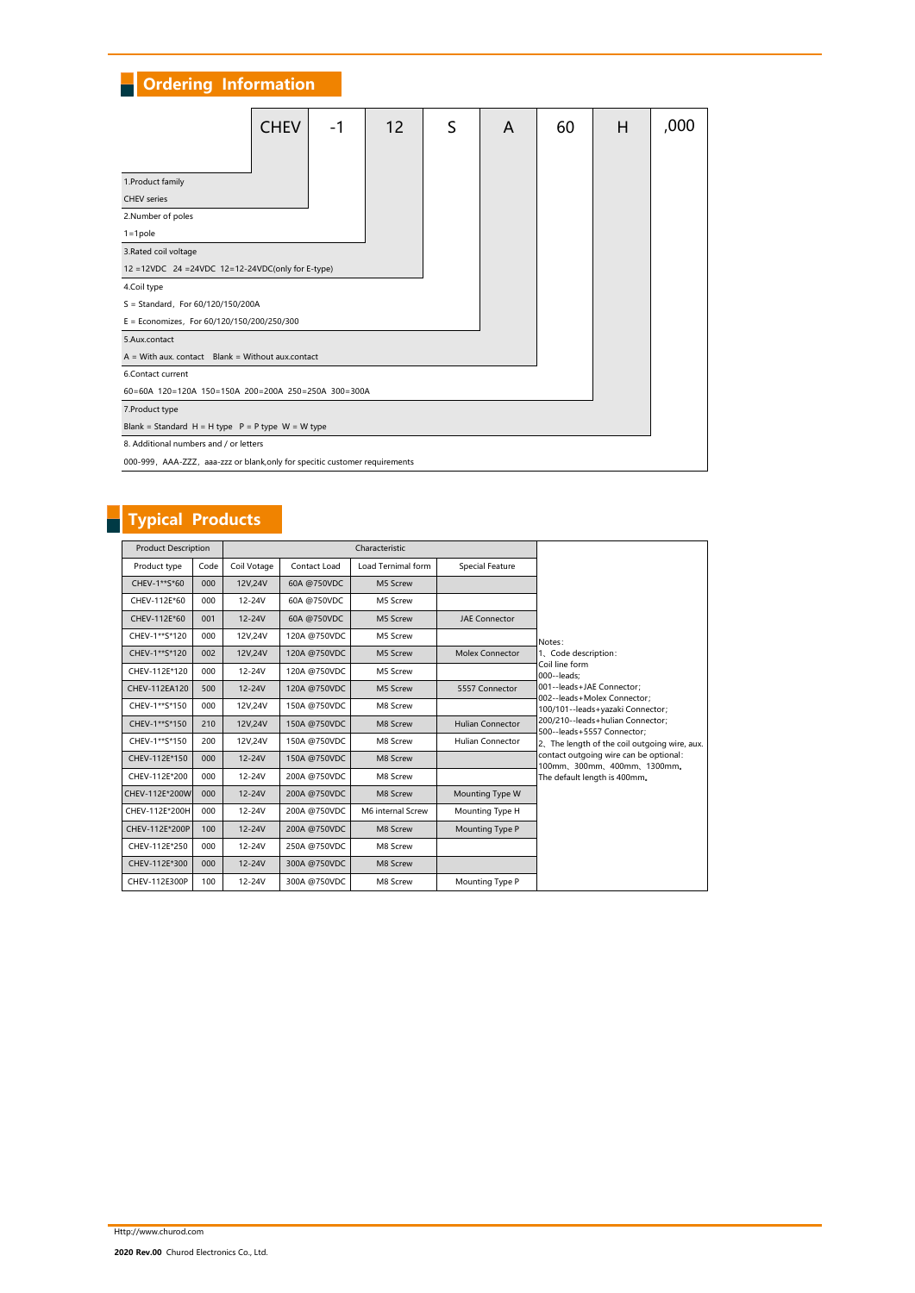# **Ordering Information**

|                                                                             | <b>CHEV</b> | -1 |    |   |   |    |   |      |
|-----------------------------------------------------------------------------|-------------|----|----|---|---|----|---|------|
|                                                                             |             |    | 12 | S | A | 60 | н | ,000 |
|                                                                             |             |    |    |   |   |    |   |      |
| 1. Product family                                                           |             |    |    |   |   |    |   |      |
| <b>CHEV</b> series                                                          |             |    |    |   |   |    |   |      |
| 2.Number of poles                                                           |             |    |    |   |   |    |   |      |
| $1 = 1$ pole                                                                |             |    |    |   |   |    |   |      |
| 3. Rated coil voltage                                                       |             |    |    |   |   |    |   |      |
| 12 = 12VDC 24 = 24VDC 12=12-24VDC(only for E-type)                          |             |    |    |   |   |    |   |      |
| 4.Coil type                                                                 |             |    |    |   |   |    |   |      |
| S = Standard, For 60/120/150/200A                                           |             |    |    |   |   |    |   |      |
| E = Economizes, For 60/120/150/200/250/300                                  |             |    |    |   |   |    |   |      |
| 5.Aux.contact                                                               |             |    |    |   |   |    |   |      |
| $A = With$ aux. contact Blank = Without aux.contact                         |             |    |    |   |   |    |   |      |
| 6.Contact current                                                           |             |    |    |   |   |    |   |      |
| 60=60A 120=120A 150=150A 200=200A 250=250A 300=300A                         |             |    |    |   |   |    |   |      |
| 7. Product type                                                             |             |    |    |   |   |    |   |      |
| Blank = Standard H = H type $P = P$ type W = W type                         |             |    |    |   |   |    |   |      |
| 8. Additional numbers and / or letters                                      |             |    |    |   |   |    |   |      |
| 000-999, AAA-ZZZ, aaa-zzz or blank, only for specitic customer requirements |             |    |    |   |   |    |   |      |

# Typical Products

| <b>Product Description</b> |         |             |              | Characteristic     |                         |                                                                        |
|----------------------------|---------|-------------|--------------|--------------------|-------------------------|------------------------------------------------------------------------|
| Product type               | Code    | Coil Votage | Contact Load | Load Ternimal form | Special Feature         |                                                                        |
| CHEV-1**S*60               | 000     | 12V,24V     | 60A @750VDC  | M5 Screw           |                         |                                                                        |
| CHEV-112E*60               | 000     | $12 - 24V$  | 60A @750VDC  | M5 Screw           |                         |                                                                        |
| CHEV-112E*60               | 001     | 12-24V      | 60A @750VDC  | M5 Screw           | <b>JAE Connector</b>    |                                                                        |
| CHEV-1**S*120              | 000     | 12V,24V     | 120A @750VDC | M5 Screw           |                         | Notes:                                                                 |
| CHEV-1**S*120              | 002     | 12V,24V     | 120A @750VDC | M5 Screw           | Molex Connector         | 1. Code description:                                                   |
| CHEV-112E*120              | 000     | 12-24V      | 120A @750VDC | M5 Screw           |                         | Coil line form<br>$000 -$ leads:                                       |
| CHEV-112EA120              | 500     | 12-24V      | 120A @750VDC | M5 Screw           | 5557 Connector          | 001--leads+JAE Connector:<br>002--leads+Molex Connector:               |
| CHEV-1**S*150              | 000     | 12V.24V     | 150A @750VDC | M8 Screw           |                         | 100/101--leads+yazaki Connector;                                       |
| CHEV-1**S*150              | 210     | 12V,24V     | 150A @750VDC | M8 Screw           | <b>Hulian Connector</b> | 200/210--leads+hulian Connector;<br>500--leads+5557 Connector:         |
| CHEV-1**S*150              | 200     | 12V,24V     | 150A @750VDC | M8 Screw           | <b>Hulian Connector</b> | 2. The length of the coil outgoing wire, aux.                          |
| CHEV-112E*150              | 000     | 12-24V      | 150A @750VDC | M8 Screw           |                         | contact outgoing wire can be optional:<br>100mm, 300mm, 400mm, 1300mm. |
| CHEV-112E*200              | 000     | 12-24V      | 200A @750VDC | M8 Screw           |                         | The default length is 400mm.                                           |
| CHEV-112E*200W             | 000     | 12-24V      | 200A @750VDC | M8 Screw           | Mounting Type W         |                                                                        |
| CHEV-112E*200H             | 000     | 12-24V      | 200A @750VDC | M6 internal Screw  | Mounting Type H         |                                                                        |
| CHEV-112E*200P             | 100     | 12-24V      | 200A @750VDC | M8 Screw           | Mounting Type P         |                                                                        |
| CHEV-112E*250              | 000     | 12-24V      | 250A @750VDC | M8 Screw           |                         |                                                                        |
| CHEV-112E*300              | $000 -$ | $12 - 24V$  | 300A @750VDC | M8 Screw           |                         |                                                                        |
| CHEV-112E300P              | 100     | 12-24V      | 300A @750VDC | M8 Screw           | Mounting Type P         |                                                                        |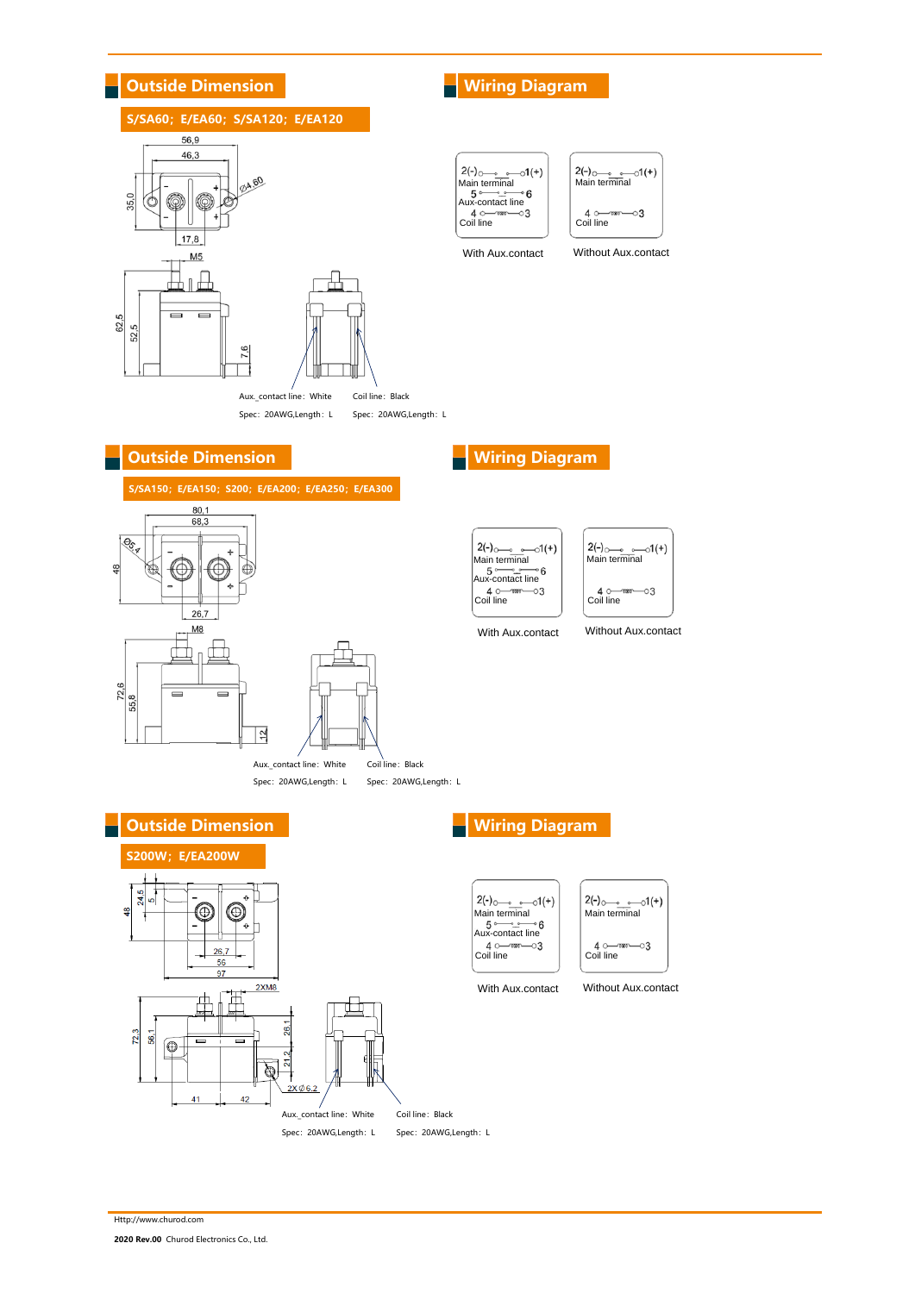

Http://www.churod.com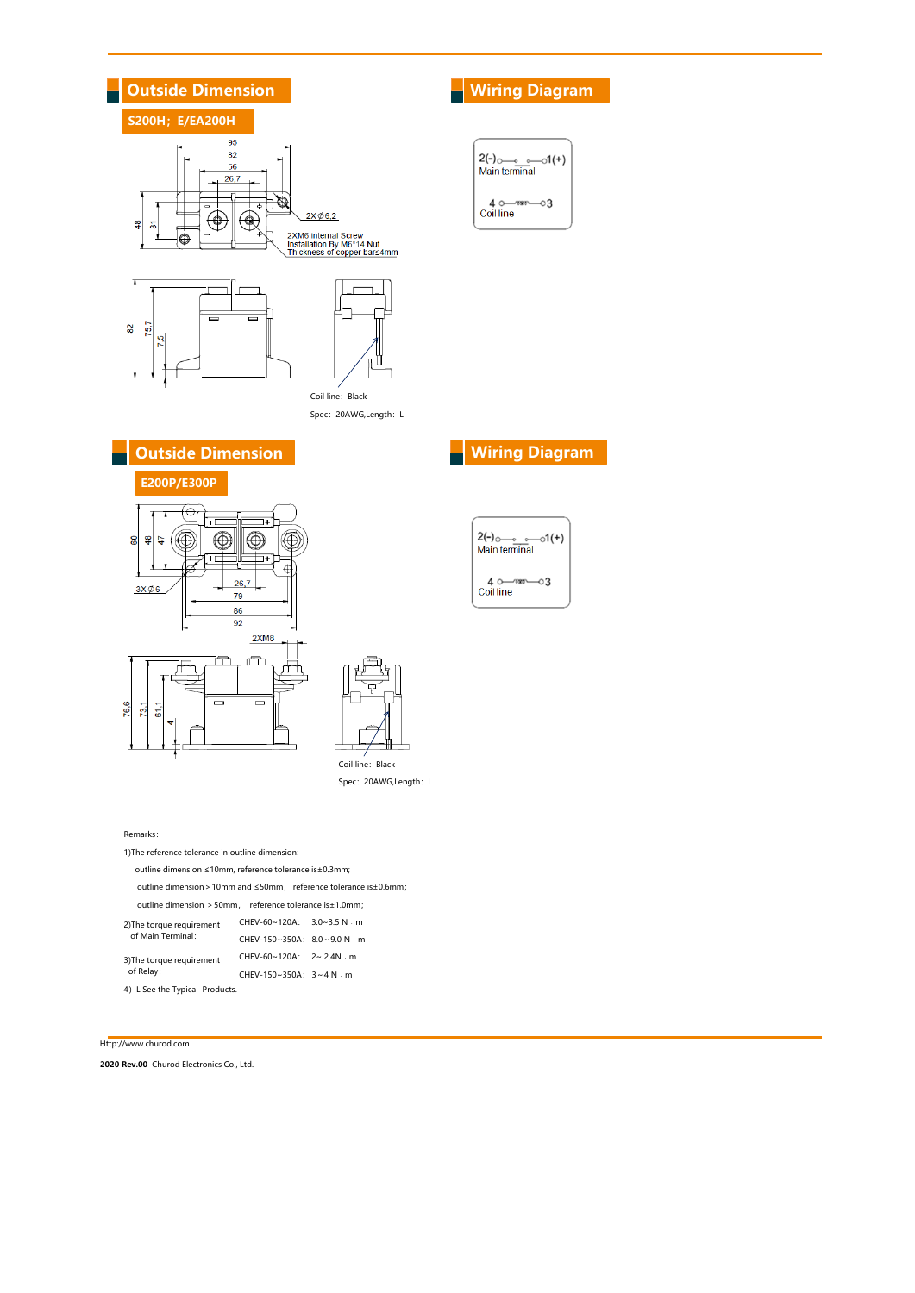

Coil line: Black Spec: 20AWG,Length: L

| <b>Main terminal</b> |
|----------------------|
| —∞∞∞<br>Coil line    |

**Outside Dimension Wiring Diagram** 





Coil line: Black Spec: 20AWG,Length: L

### Remarks:

1)The reference tolerance in outline dimension: outline dimension ≤10mm, reference tolerance is±0.3mm; outline dimension>10mm and ≤50mm, reference tolerance is±0.6mm; outline dimension >50mm, reference tolerance is±1.0mm; CHEV-60~120A: 3.0~3.5 N · m CHEV-150~350A:  $8.0 \sim 9.0$  N  $\cdot$  m CHEV-60~120A: 2~ 2.4N · m CHEV-150~350A: 3~4 N﹒m 2)The torque requirement of Main Terminal: 3)The torque requirement of Relay:

4) L See the Typical Products.

### Http://www.churod.com

2020 Rev.00 Churod Electronics Co., Ltd.

# $2(-)$   $\frac{1}{2}$  $0(+)$  $40$  mm  $-03$ <br>Coil line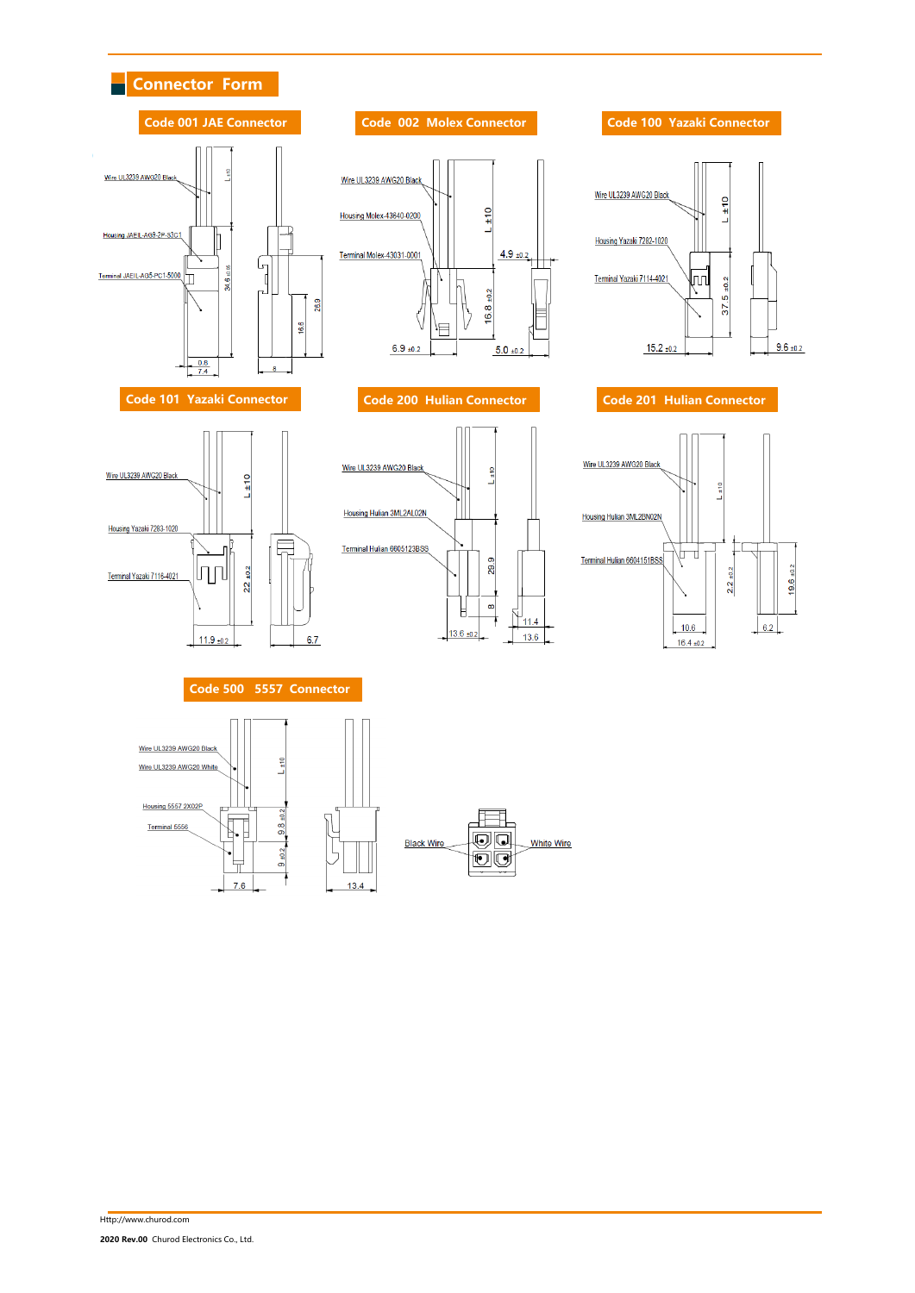







29.9

 $\infty$ E

 $13.6 \pm 0.2$ 

 $\sum_{11.4}$ 

 $13.6$ 

Wire UL3239 AWG20 Black

Housing Hulian 3ML2AL02N

Terminal Hulian 6605123BSS



Connector Form

٠



## Code 500 5557 Connector

 $6.7$ 

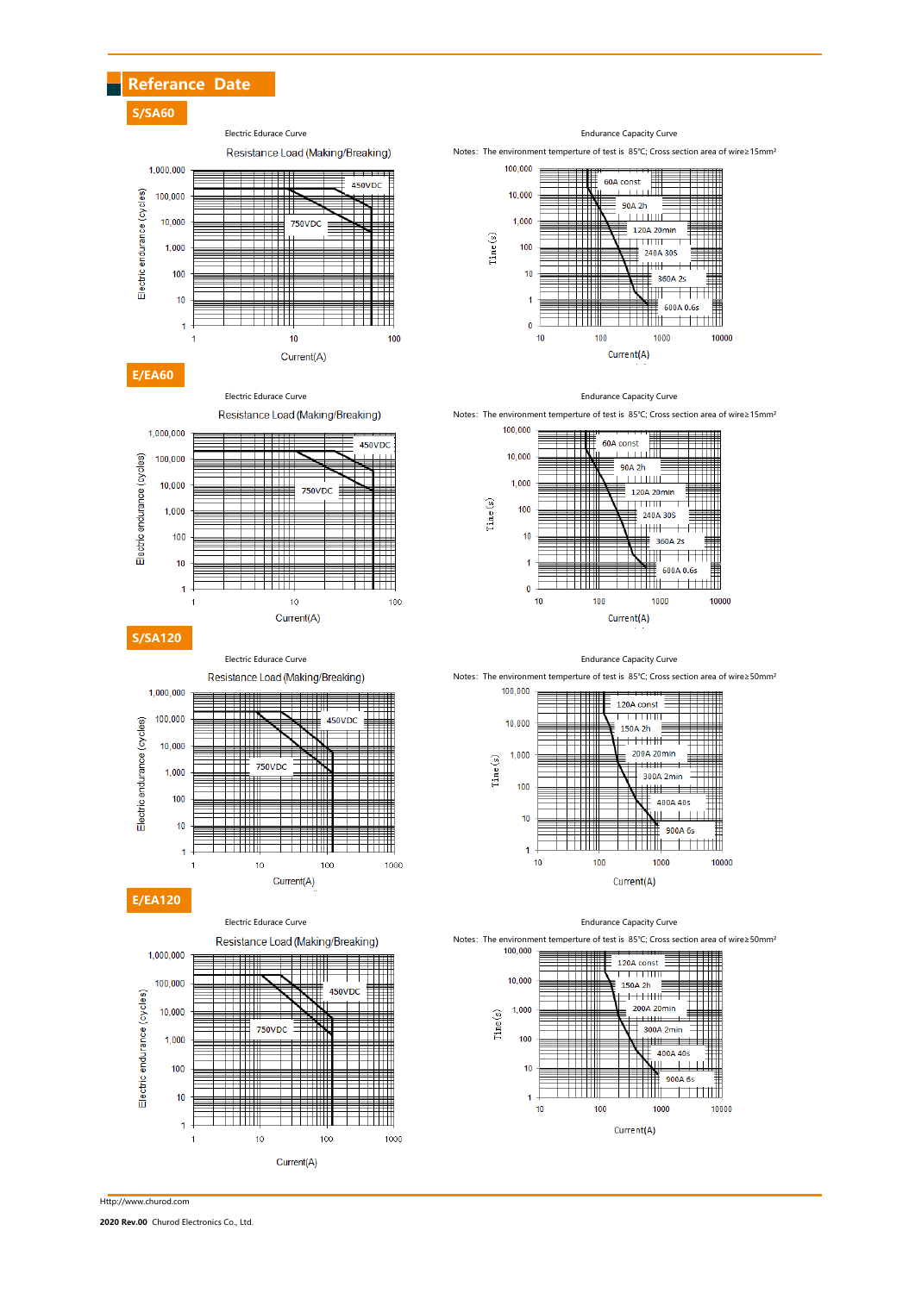## Referance Date

S/SA60

Electric Edurace Curve **Endurance Capacity Curve** 







Resistance Load (Making/Breaking)

750VDC

ħп

╤╤╤╤

ĦĦ

 $10$ 

450VD

T

1000

▓

₩₩

╫╫

Current(A)

 $100$ 

Notes: The environment temperture of test is 85℃; Cross section area of wire≥15mm<sup>;</sup>



### Electric Edurace Curve **Endurance Capacity Curve** Endurance Capacity Curve

Notes: The environment temperture of test is 85℃; Cross section area of wire≥15mm



### Electric Edurace Curve **Electric Edurace Capacity Curve** Endurance Capacity Curve

Notes: The environment temperture of test is 85℃; Cross section area of wire≥50mm<sup>3</sup>



### Electric Edurace Curve **Endurance Capacity Curve** Endurance Capacity Curve



Notes:The environment temperture of test is 85℃; Cross section area of wire≥50mm²



Http://www.churod.com

Electric endurance (cycles)

E/EA120

1,000,000

100,000

 $10,000$ 

 $1,000$ 

 $100$ 

10

 $\overline{1}$ 

 $\overline{1}$ 

Electric endurance (cycles)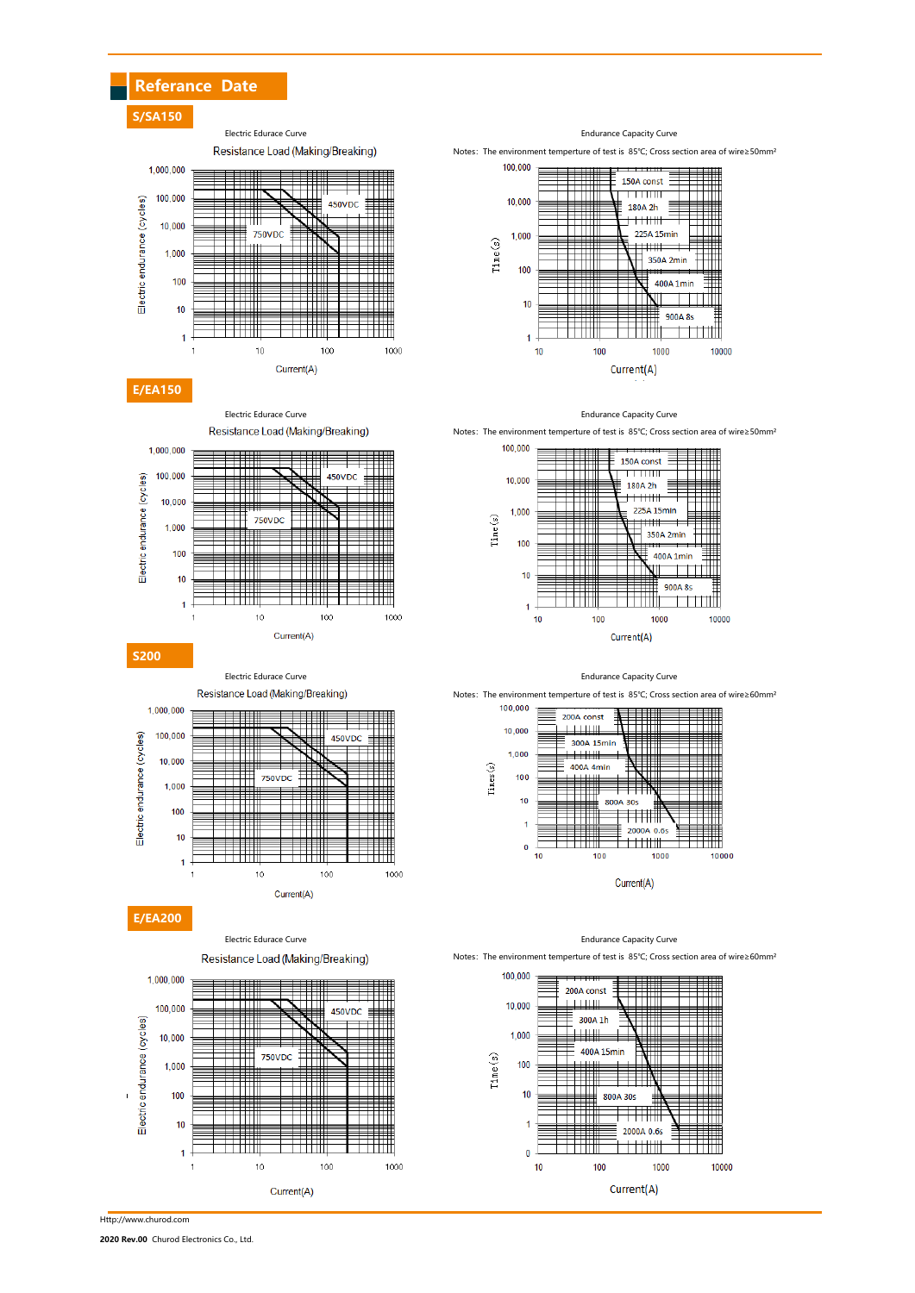



Resistance Load (Making/Breaking)

**750VDC** 

Ħ

╪╪╪

▀▀▀

11111

100

₩

▀

- 1111

 $10$ 

450VD

**THE REAL** 

1000



Electric Edurace Curve **Endurance Curve** Endurance Capacity Curve

Notes: The environment temperture of test is 85℃; Cross section area of wire≥50mm<sup>2</sup>

150A const <u> TTTTIIII</u>

180A 2h

 $+++$ 

₩

Current(A)

1000

ĦĦ

╪╪╪┋

╪╪╪╫

 $100$ 

225A 15min

350A 2min

 $400A$  1 min

9004.85

10000

 $\pm$   $\pm$ 







100

 $\overline{0}$  $10$ 

Current(A)

2000A 0.6s

<u>ti illi</u>

1000

10000

Notes: The environment temperture of test is 85℃; Cross section area of wire≥60mm<sup>3</sup>



E/EA200

S200

Electric endurance (cycles)

1,000,000

100,000

10,000

1.000

100

 $10$ 

 $\overline{1}$ 

Resistance Load (Making/Breaking)

Current(A)



Http://www.churod.com

2020 Rev.00 Churod Electronics Co., Ltd.